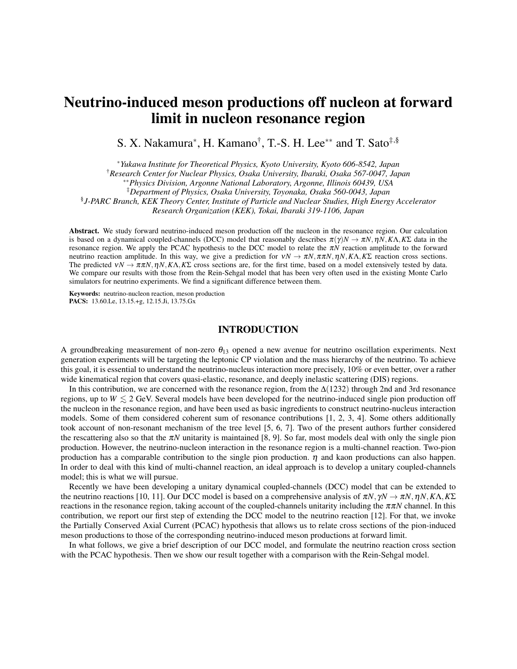# Neutrino-induced meson productions off nucleon at forward limit in nucleon resonance region

S. X. Nakamura*<sup>∗</sup>* , H. Kamano† , T.-S. H. Lee*∗∗* and T. Sato‡,§

*<sup>∗</sup>Yukawa Institute for Theoretical Physics, Kyoto University, Kyoto 606-8542, Japan*

†*Research Center for Nuclear Physics, Osaka University, Ibaraki, Osaka 567-0047, Japan*

§ *J-PARC Branch, KEK Theory Center, Institute of Particle and Nuclear Studies, High Energy Accelerator*

*Research Organization (KEK), Tokai, Ibaraki 319-1106, Japan*

Abstract. We study forward neutrino-induced meson production off the nucleon in the resonance region. Our calculation is based on a dynamical coupled-channels (DCC) model that reasonably describes  $\pi(\gamma)N \to \pi N$ ,  $\eta N$ ,  $K\Lambda$ ,  $K\Sigma$  data in the resonance region. We apply the PCAC hypothesis to the DCC model to relate the <sup>π</sup>*N* reaction amplitude to the forward neutrino reaction amplitude. In this way, we give a prediction for <sup>ν</sup>*N →* <sup>π</sup>*N,*ππ*N,*η*N,K*Λ*,K*Σ reaction cross sections. The predicted  $vN \to \pi \pi N$ ,  $\eta N$ ,  $K\Lambda$ ,  $K\Sigma$  cross sections are, for the first time, based on a model extensively tested by data. We compare our results with those from the Rein-Sehgal model that has been very often used in the existing Monte Carlo simulators for neutrino experiments. We find a significant difference between them.

Keywords: neutrino-nucleon reaction, meson production PACS: 13.60.Le, 13.15.+g, 12.15.Ji, 13.75.Gx

#### INTRODUCTION

A groundbreaking measurement of non-zero  $\theta_{13}$  opened a new avenue for neutrino oscillation experiments. Next generation experiments will be targeting the leptonic CP violation and the mass hierarchy of the neutrino. To achieve this goal, it is essential to understand the neutrino-nucleus interaction more precisely, 10% or even better, over a rather wide kinematical region that covers quasi-elastic, resonance, and deeply inelastic scattering (DIS) regions.

In this contribution, we are concerned with the resonance region, from the  $\Delta(1232)$  through 2nd and 3rd resonance regions, up to  $W \le 2$  GeV. Several models have been developed for the neutrino-induced single pion production off the nucleon in the resonance region, and have been used as basic ingredients to construct neutrino-nucleus interaction models. Some of them considered coherent sum of resonance contributions [1, 2, 3, 4]. Some others additionally took account of non-resonant mechanism of the tree level [5, 6, 7]. Two of the present authors further considered the rescattering also so that the  $\pi N$  unitarity is maintained [8, 9]. So far, most models deal with only the single pion production. However, the neutrino-nucleon interaction in the resonance region is a multi-channel reaction. Two-pion production has a comparable contribution to the single pion production.  $\eta$  and kaon productions can also happen. In order to deal with this kind of multi-channel reaction, an ideal approach is to develop a unitary coupled-channels model; this is what we will pursue.

Recently we have been developing a unitary dynamical coupled-channels (DCC) model that can be extended to the neutrino reactions [10, 11]. Our DCC model is based on a comprehensive analysis of  $\pi N$ *, γN*  $\rightarrow \pi N$ *, ηN, Κ*Λ*,Κ*Σ reactions in the resonance region, taking account of the coupled-channels unitarity including the  $\pi\pi N$  channel. In this contribution, we report our first step of extending the DCC model to the neutrino reaction [12]. For that, we invoke the Partially Conserved Axial Current (PCAC) hypothesis that allows us to relate cross sections of the pion-induced meson productions to those of the corresponding neutrino-induced meson productions at forward limit.

In what follows, we give a brief description of our DCC model, and formulate the neutrino reaction cross section with the PCAC hypothesis. Then we show our result together with a comparison with the Rein-Sehgal model.

*<sup>∗∗</sup>Physics Division, Argonne National Laboratory, Argonne, Illinois 60439, USA*

<sup>‡</sup>*Department of Physics, Osaka University, Toyonaka, Osaka 560-0043, Japan*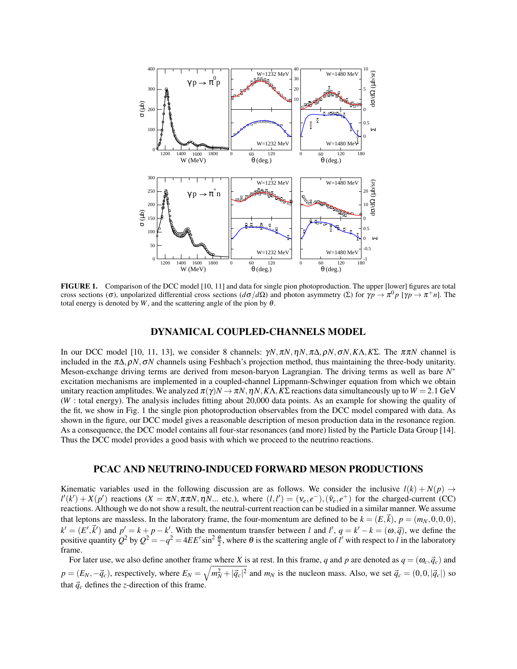

FIGURE 1. Comparison of the DCC model [10, 11] and data for single pion photoproduction. The upper [lower] figures are total cross sections ( $\sigma$ ), unpolarized differential cross sections ( $d\sigma/d\Omega$ ) and photon asymmetry (Σ) for  $\gamma p \to \pi^0 p$  [ $\gamma p \to \pi^+ n$ ]. The total energy is denoted by  $W$ , and the scattering angle of the pion by  $\theta$ .

### DYNAMICAL COUPLED-CHANNELS MODEL

In our DCC model [10, 11, 13], we consider 8 channels: <sup>γ</sup>*N,*π*N,*η*N,*π∆*,*ρ*N,*σ*N,K*Λ*,K*Σ. The ππ*N* channel is included in the <sup>π</sup>∆*,*ρ*N,*σ*N* channels using Feshbach's projection method, thus maintaining the three-body unitarity. Meson-exchange driving terms are derived from meson-baryon Lagrangian. The driving terms as well as bare *N ∗* excitation mechanisms are implemented in a coupled-channel Lippmann-Schwinger equation from which we obtain unitary reaction amplitudes. We analyzed  $\pi(\gamma)N \to \pi N$ ,  $\eta N$ ,  $K\Lambda$ ,  $K\Sigma$  reactions data simultaneously up to  $W = 2.1$  GeV (*W* : total energy). The analysis includes fitting about 20,000 data points. As an example for showing the quality of the fit, we show in Fig. 1 the single pion photoproduction observables from the DCC model compared with data. As shown in the figure, our DCC model gives a reasonable description of meson production data in the resonance region. As a consequence, the DCC model contains all four-star resonances (and more) listed by the Particle Data Group [14]. Thus the DCC model provides a good basis with which we proceed to the neutrino reactions.

### PCAC AND NEUTRINO-INDUCED FORWARD MESON PRODUCTIONS

Kinematic variables used in the following discussion are as follows. We consider the inclusive  $l(k) + N(p) \rightarrow$  $l'(k') + X(p')$  reactions  $(X = \pi N, \pi \pi N, \eta N)$ ... etc.), where  $(l, l') = (v_e, e^-), (\bar{v}_e, e^+)$  for the charged-current (CC) reactions. Although we do not show a result, the neutral-current reaction can be studied in a similar manner. We assume that leptons are massless. In the laboratory frame, the four-momentum are defined to be  $k = (E, \vec{k})$ ,  $p = (m_N, 0, 0, 0)$ ,  $k' = (E', \vec{k}')$  and  $p' = k + p - k'$ . With the momentum transfer between l and l',  $q = k' - k = (\omega, \vec{q})$ , we define the positive quantity  $Q^2$  by  $Q^2 = -q^2 = 4EE' \sin^2 \frac{\theta}{2}$ , where  $\theta$  is the scattering angle of  $l'$  with respect to  $l$  in the laboratory frame.

For later use, we also define another frame where *X* is at rest. In this frame, *q* and *p* are denoted as  $q = (\omega_c, \vec{q}_c)$  and  $p=(E_N,-\vec{q}_c)$ , respectively, where  $E_N=\sqrt{m_N^2+|\vec{q}_c|^2}$  and  $m_N$  is the nucleon mass. Also, we set  $\vec{q}_c=(0,0,|\vec{q}_c|)$  so that  $\vec{q}_c$  defines the *z*-direction of this frame.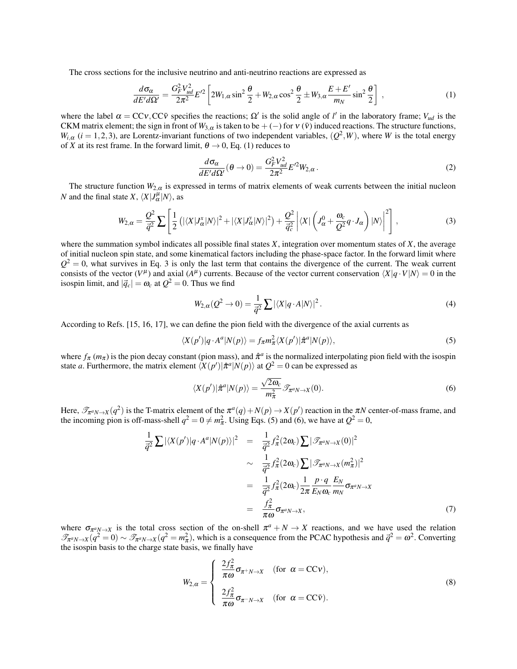The cross sections for the inclusive neutrino and anti-neutrino reactions are expressed as

$$
\frac{d\sigma_{\alpha}}{dE'd\Omega'} = \frac{G_F^2 V_{ud}^2}{2\pi^2} E'^2 \left[ 2W_{1,\alpha} \sin^2 \frac{\theta}{2} + W_{2,\alpha} \cos^2 \frac{\theta}{2} \pm W_{3,\alpha} \frac{E + E'}{m_N} \sin^2 \frac{\theta}{2} \right] , \qquad (1)
$$

where the label  $\alpha = CCv$ ,  $CC\bar{v}$  specifies the reactions;  $\Omega'$  is the solid angle of *l'* in the laboratory frame;  $V_{ud}$  is the CKM matrix element; the sign in front of  $W_{3,\alpha}$  is taken to be + (−) for  $v(\bar{v})$  induced reactions. The structure functions,  $W_{i,\alpha}$  (*i* = 1, 2, 3), are Lorentz-invariant functions of two independent variables,  $(Q^2, W)$ , where *W* is the total energy of *X* at its rest frame. In the forward limit,  $\theta \rightarrow 0$ , Eq. (1) reduces to

$$
\frac{d\sigma_{\alpha}}{dE'd\Omega'}(\theta \to 0) = \frac{G_F^2 V_{ud}^2}{2\pi^2} E'^2 W_{2,\alpha}.
$$
\n(2)

The structure function  $W_{2,\alpha}$  is expressed in terms of matrix elements of weak currents between the initial nucleon *N* and the final state *X*,  $\langle X | J^{\mu}_{\alpha} | N \rangle$ , as

$$
W_{2,\alpha} = \frac{Q^2}{\vec{q}^2} \sum \left[ \frac{1}{2} \left( |\langle X | J_{\alpha}^x | N \rangle|^2 + |\langle X | J_{\alpha}^y | N \rangle|^2 \right) + \frac{Q^2}{\vec{q}_c^2} \left| \langle X | \left( J_{\alpha}^0 + \frac{\omega_c}{Q^2} q \cdot J_{\alpha} \right) | N \rangle \right|^2 \right],
$$
\n(3)

where the summation symbol indicates all possible final states *X*, integration over momentum states of *X*, the average of initial nucleon spin state, and some kinematical factors including the phase-space factor. In the forward limit where  $Q^2 = 0$ , what survives in Eq. 3 is only the last term that contains the divergence of the current. The weak current consists of the vector  $(V^{\mu})$  and axial  $(A^{\mu})$  currents. Because of the vector current conservation  $\langle X|q \cdot V|N \rangle = 0$  in the isospin limit, and  $|\vec{q}_c| = \omega_c$  at  $Q^2 = 0$ . Thus we find

$$
W_{2,\alpha}(Q^2 \to 0) = \frac{1}{\vec{q}^2} \sum |\langle X|q \cdot A|N\rangle|^2.
$$
 (4)

According to Refs. [15, 16, 17], we can define the pion field with the divergence of the axial currents as

$$
\langle X(p')|q \cdot A^a|N(p)\rangle = f_{\pi}m_{\pi}^2 \langle X(p')|\hat{\pi}^a|N(p)\rangle,\tag{5}
$$

where  $f_{\pi}(m_{\pi})$  is the pion decay constant (pion mass), and  $\hat{\pi}^a$  is the normalized interpolating pion field with the isospin state *a*. Furthermore, the matrix element  $\langle X(p')|\hat{\pi}^a|N(p)\rangle$  at  $Q^2 = 0$  can be expressed as

$$
\langle X(p')|\hat{\pi}^a|N(p)\rangle = \frac{\sqrt{2\omega_c}}{m_{\pi}^2}\mathcal{T}_{\pi^a N \to X}(0). \tag{6}
$$

Here,  $\mathcal{T}_{\pi^a N \to X}(q^2)$  is the T-matrix element of the  $\pi^a(q) + N(p) \to X(p')$  reaction in the  $\pi N$  center-of-mass frame, and the incoming pion is off-mass-shell  $q^2 = 0 \neq m_\pi^2$ . Using Eqs. (5) and (6), we have at  $Q^2 = 0$ ,

$$
\frac{1}{\vec{q}^2} \sum |\langle X(p')|q \cdot A^a|N(p)\rangle|^2 = \frac{1}{\vec{q}^2} f_\pi^2(2\omega_c) \sum |\mathcal{F}_{\pi^a N \to X}(0)|^2
$$

$$
\sim \frac{1}{\vec{q}^2} f_\pi^2(2\omega_c) \sum |\mathcal{F}_{\pi^a N \to X}(m_\pi^2)|^2
$$

$$
= \frac{1}{\vec{q}^2} f_\pi^2(2\omega_c) \frac{1}{2\pi} \frac{P \cdot q}{E_N \omega_c} \frac{E_N}{m_N} \sigma_{\pi^a N \to X}
$$

$$
= \frac{f_\pi^2}{\pi \omega} \sigma_{\pi^a N \to X}, \tag{7}
$$

where  $\sigma_{\pi^a N \to X}$  is the total cross section of the on-shell  $\pi^a + N \to X$  reactions, and we have used the relation  $\mathcal{T}_{\pi^a N \to X}(q^2 = 0) \sim \mathcal{T}_{\pi^a N \to X}(q^2 = m_\pi^2)$ , which is a consequence from the PCAC hypothesis and  $\vec{q}^2 = \omega^2$ . Converting the isospin basis to the charge state basis, we finally have

$$
W_{2,\alpha} = \begin{cases} \frac{2f_{\pi}^2}{\pi\omega} \sigma_{\pi^+N\to X} & \text{(for } \alpha = \text{CCv}),\\ \frac{2f_{\pi}^2}{\pi\omega} \sigma_{\pi^-N\to X} & \text{(for } \alpha = \text{CCv}). \end{cases} \tag{8}
$$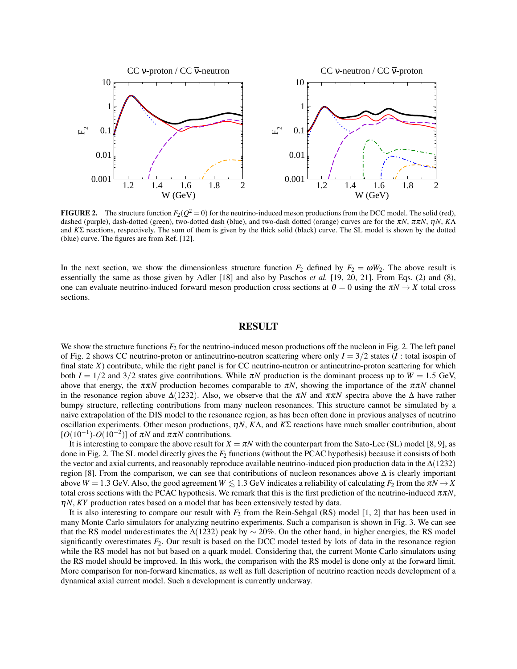

**FIGURE 2.** The structure function  $F_2(Q^2 = 0)$  for the neutrino-induced meson productions from the DCC model. The solid (red), dashed (purple), dash-dotted (green), two-dotted dash (blue), and two-dash dotted (orange) curves are for the <sup>π</sup>*N*, ππ*N*, <sup>η</sup>*N*, *K*Λ and *K*Σ reactions, respectively. The sum of them is given by the thick solid (black) curve. The SL model is shown by the dotted (blue) curve. The figures are from Ref. [12].

In the next section, we show the dimensionless structure function  $F_2$  defined by  $F_2 = \omega W_2$ . The above result is essentially the same as those given by Adler [18] and also by Paschos *et al.* [19, 20, 21]. From Eqs. (2) and (8), one can evaluate neutrino-induced forward meson production cross sections at  $\theta = 0$  using the  $\pi N \rightarrow X$  total cross sections.

# RESULT

We show the structure functions  $F_2$  for the neutrino-induced meson productions off the nucleon in Fig. 2. The left panel of Fig. 2 shows CC neutrino-proton or antineutrino-neutron scattering where only  $I = 3/2$  states (*I* : total isospin of final state  $X$ ) contribute, while the right panel is for CC neutrino-neutron or antineutrino-proton scattering for which both  $I = 1/2$  and  $3/2$  states give contributions. While  $\pi N$  production is the dominant process up to  $W = 1.5$  GeV, above that energy, the  $\pi\pi N$  production becomes comparable to  $\pi N$ , showing the importance of the  $\pi\pi N$  channel in the resonance region above  $\Delta(1232)$ . Also, we observe that the  $\pi N$  and  $\pi \pi N$  spectra above the  $\Delta$  have rather bumpy structure, reflecting contributions from many nucleon resonances. This structure cannot be simulated by a naive extrapolation of the DIS model to the resonance region, as has been often done in previous analyses of neutrino oscillation experiments. Other meson productions, <sup>η</sup>*N*, *K*Λ, and *K*Σ reactions have much smaller contribution, about  $[O(10^{-1})$ - $O(10^{-2})$ ] of  $\pi N$  and  $\pi \pi N$  contributions.

It is interesting to compare the above result for  $X = \pi N$  with the counterpart from the Sato-Lee (SL) model [8, 9], as done in Fig. 2. The SL model directly gives the *F*<sup>2</sup> functions (without the PCAC hypothesis) because it consists of both the vector and axial currents, and reasonably reproduce available neutrino-induced pion production data in the ∆(1232) region [8]. From the comparison, we can see that contributions of nucleon resonances above ∆ is clearly important above  $W = 1.3$  GeV. Also, the good agreement  $W \lesssim 1.3$  GeV indicates a reliability of calculating  $F_2$  from the  $\pi N \to X$ total cross sections with the PCAC hypothesis. We remark that this is the first prediction of the neutrino-induced  $\pi \pi N$ , η*N*, *KY* production rates based on a model that has been extensively tested by data.

It is also interesting to compare our result with *F*<sup>2</sup> from the Rein-Sehgal (RS) model [1, 2] that has been used in many Monte Carlo simulators for analyzing neutrino experiments. Such a comparison is shown in Fig. 3. We can see that the RS model underestimates the ∆(1232) peak by *∼* 20%. On the other hand, in higher energies, the RS model significantly overestimates  $F_2$ . Our result is based on the DCC model tested by lots of data in the resonance region while the RS model has not but based on a quark model. Considering that, the current Monte Carlo simulators using the RS model should be improved. In this work, the comparison with the RS model is done only at the forward limit. More comparison for non-forward kinematics, as well as full description of neutrino reaction needs development of a dynamical axial current model. Such a development is currently underway.